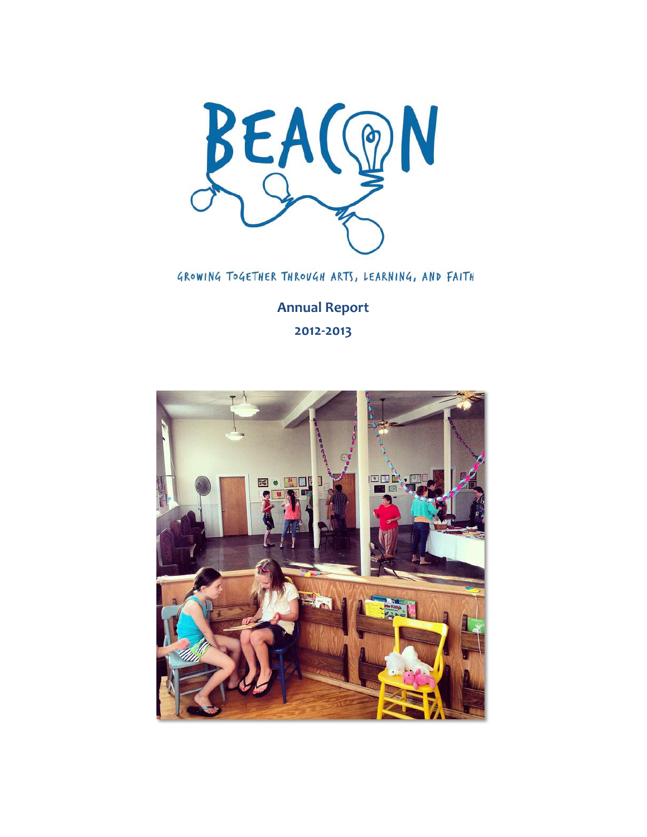

GROWING TOGETHER THROUGH ARTS, LEARNING, AND FAITH

**Annual Report 2012-2013**

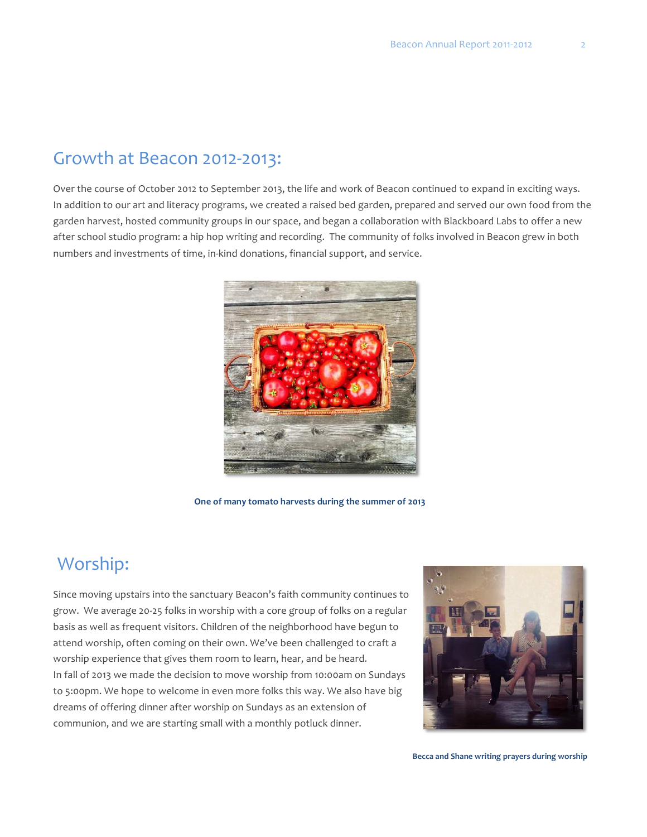#### Growth at Beacon 2012-2013:

Over the course of October 2012 to September 2013, the life and work of Beacon continued to expand in exciting ways. In addition to our art and literacy programs, we created a raised bed garden, prepared and served our own food from the garden harvest, hosted community groups in our space, and began a collaboration with Blackboard Labs to offer a new after school studio program: a hip hop writing and recording. The community of folks involved in Beacon grew in both numbers and investments of time, in-kind donations, financial support, and service.



One of many tomato harvests during the summer of 2013

## Worship:

Since moving upstairs into the sanctuary Beacon's faith community continues to grow. We average 20-25 folks in worship with a core group of folks on a regular basis as well as frequent visitors. Children of the neighborhood have begun to attend worship, often coming on their own. We've been challenged to craft a worship experience that gives them room to learn, hear, and be heard. In fall of 2013 we made the decision to move worship from 10:00am on Sundays to 5:00pm. We hope to welcome in even more folks this way. We also have big dreams of offering dinner after worship on Sundays as an extension of communion, and we are starting small with a monthly potluck dinner.



**Becca and Shane writing prayers during worship**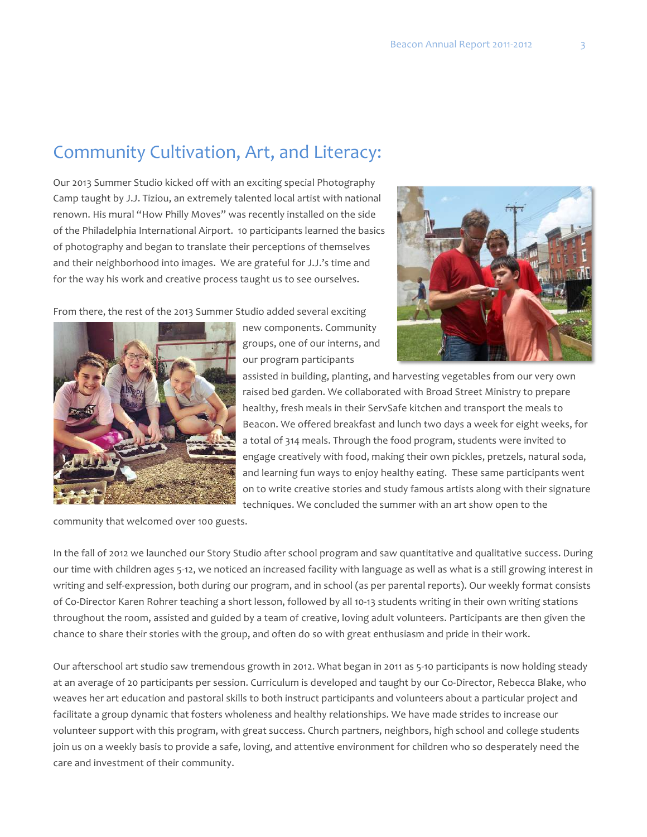#### Community Cultivation, Art, and Literacy:

Our 2013 Summer Studio kicked off with an exciting special Photography Camp taught by J.J. Tiziou, an extremely talented local artist with national renown. His mural "How Philly Moves" was recently installed on the side of the Philadelphia International Airport. 10 participants learned the basics of photography and began to translate their perceptions of themselves and their neighborhood into images. We are grateful for J.J.'s time and for the way his work and creative process taught us to see ourselves.

From there, the rest of the 2013 Summer Studio added several exciting



new components. Community groups, one of our interns, and our program participants

assisted in building, planting, and harvesting vegetables from our very own raised bed garden. We collaborated with Broad Street Ministry to prepare healthy, fresh meals in their ServSafe kitchen and transport the meals to Beacon. We offered breakfast and lunch two days a week for eight weeks, for a total of 314 meals. Through the food program, students were invited to engage creatively with food, making their own pickles, pretzels, natural soda, and learning fun ways to enjoy healthy eating. These same participants went on to write creative stories and study famous artists along with their signature techniques. We concluded the summer with an art show open to the

community that welcomed over 100 guests.

In the fall of 2012 we launched our Story Studio after school program and saw quantitative and qualitative success. During our time with children ages 5-12, we noticed an increased facility with language as well as what is a still growing interest in writing and self-expression, both during our program, and in school (as per parental reports). Our weekly format consists of Co-Director Karen Rohrer teaching a short lesson, followed by all 10-13 students writing in their own writing stations throughout the room, assisted and guided by a team of creative, loving adult volunteers. Participants are then given the chance to share their stories with the group, and often do so with great enthusiasm and pride in their work.

Our afterschool art studio saw tremendous growth in 2012. What began in 2011 as 5-10 participants is now holding steady at an average of 20 participants per session. Curriculum is developed and taught by our Co-Director, Rebecca Blake, who weaves her art education and pastoral skills to both instruct participants and volunteers about a particular project and facilitate a group dynamic that fosters wholeness and healthy relationships. We have made strides to increase our volunteer support with this program, with great success. Church partners, neighbors, high school and college students join us on a weekly basis to provide a safe, loving, and attentive environment for children who so desperately need the care and investment of their community.

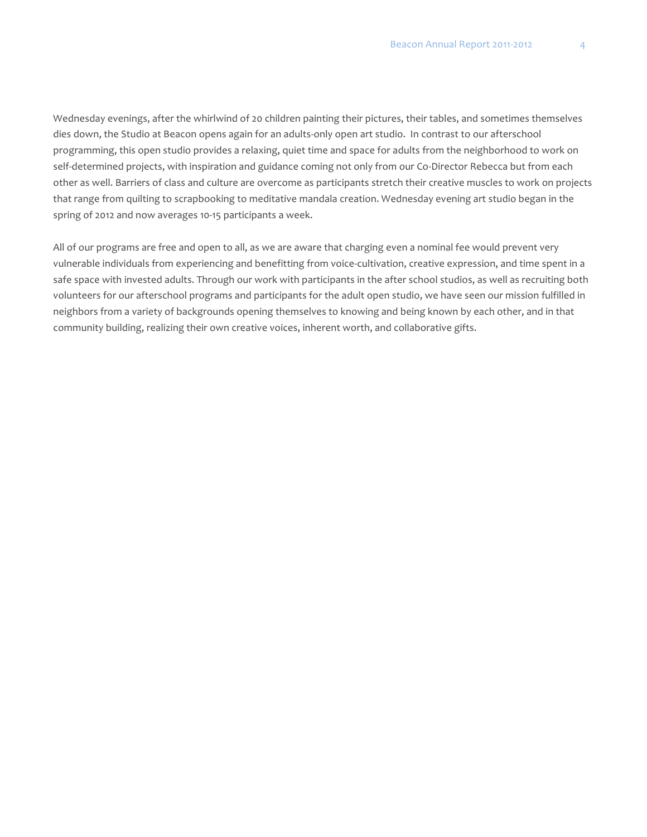Wednesday evenings, after the whirlwind of 20 children painting their pictures, their tables, and sometimes themselves dies down, the Studio at Beacon opens again for an adults-only open art studio. In contrast to our afterschool programming, this open studio provides a relaxing, quiet time and space for adults from the neighborhood to work on self-determined projects, with inspiration and guidance coming not only from our Co-Director Rebecca but from each other as well. Barriers of class and culture are overcome as participants stretch their creative muscles to work on projects that range from quilting to scrapbooking to meditative mandala creation. Wednesday evening art studio began in the spring of 2012 and now averages 10-15 participants a week.

All of our programs are free and open to all, as we are aware that charging even a nominal fee would prevent very vulnerable individuals from experiencing and benefitting from voice-cultivation, creative expression, and time spent in a safe space with invested adults. Through our work with participants in the after school studios, as well as recruiting both volunteers for our afterschool programs and participants for the adult open studio, we have seen our mission fulfilled in neighbors from a variety of backgrounds opening themselves to knowing and being known by each other, and in that community building, realizing their own creative voices, inherent worth, and collaborative gifts.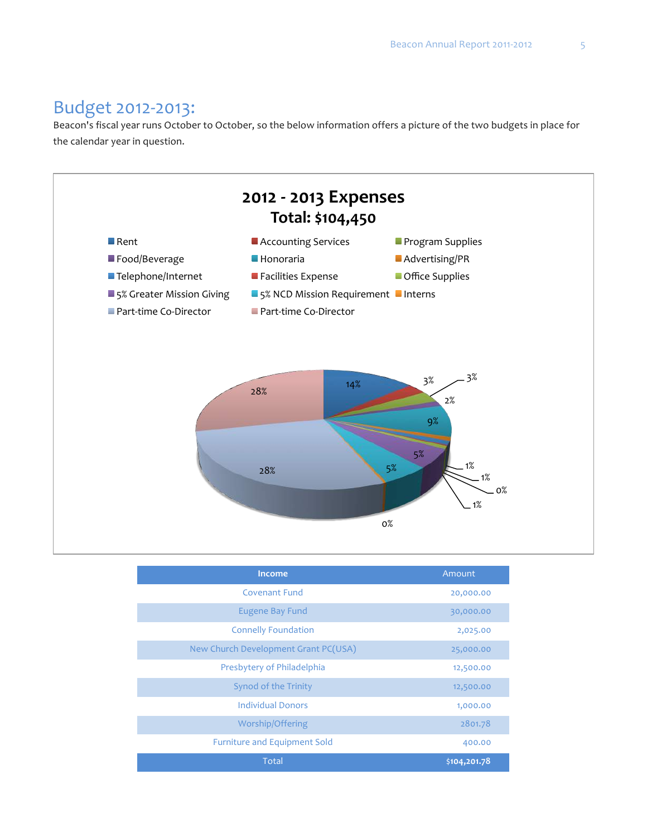# Budget 2012-2013:

Beacon's fiscal year runs October to October, so the below information offers a picture of the two budgets in place for the calendar year in question.



| Income                               | Amount       |
|--------------------------------------|--------------|
| <b>Covenant Fund</b>                 | 20,000.00    |
| <b>Eugene Bay Fund</b>               | 30,000.00    |
| <b>Connelly Foundation</b>           | 2,025.00     |
| New Church Development Grant PC(USA) | 25,000.00    |
| Presbytery of Philadelphia           | 12,500.00    |
| <b>Synod of the Trinity</b>          | 12,500.00    |
| <b>Individual Donors</b>             | 1,000.00     |
| Worship/Offering                     | 2801.78      |
| <b>Furniture and Equipment Sold</b>  | 400.00       |
| Total                                | \$104,201.78 |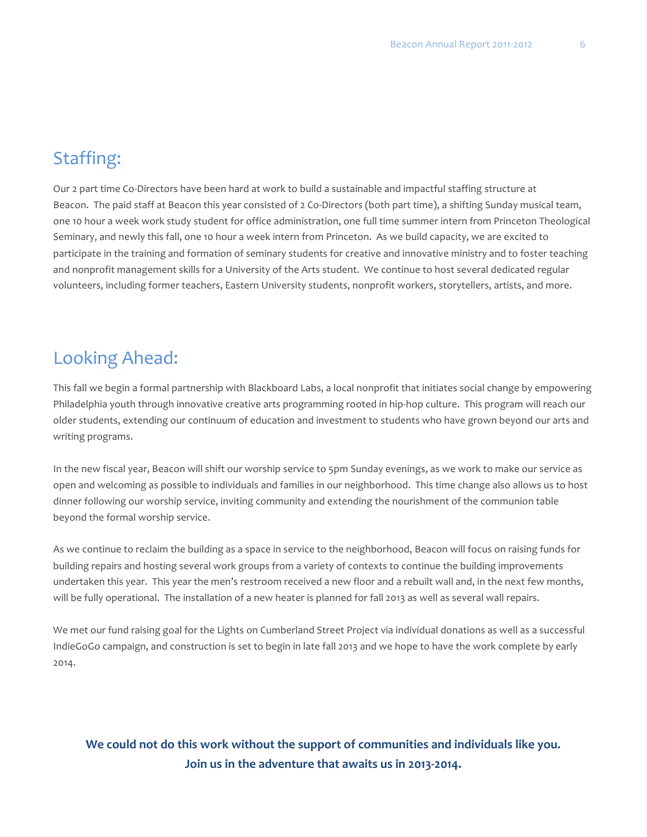## Staffing:

Our 2 part time Co-Directors have been hard at work to build a sustainable and impactful staffing structure at Beacon. The paid staff at Beacon this year consisted of 2 Co-Directors (both part time), a shifting Sunday musical team, one 10 hour a week work study student for office administration, one full time summer intern from Princeton Theological Seminary, and newly this fall, one 10 hour a week intern from Princeton. As we build capacity, we are excited to participate in the training and formation of seminary students for creative and innovative ministry and to foster teaching and nonprofit management skills for a University of the Arts student. We continue to host several dedicated regular volunteers, including former teachers, Eastern University students, nonprofit workers, storytellers, artists, and more.

#### Looking Ahead:

This fall we begin a formal partnership with Blackboard Labs, a local nonprofit that initiates social change by empowering Philadelphia youth through innovative creative arts programming rooted in hip-hop culture. This program will reach our older students, extending our continuum of education and investment to students who have grown beyond our arts and writing programs.

In the new fiscal year, Beacon will shift our worship service to 5pm Sunday evenings, as we work to make our service as open and welcoming as possible to individuals and families in our neighborhood. This time change also allows us to host dinner following our worship service, inviting community and extending the nourishment of the communion table beyond the formal worship service.

As we continue to reclaim the building as a space in service to the neighborhood, Beacon will focus on raising funds for building repairs and hosting several work groups from a variety of contexts to continue the building improvements undertaken this year. This year the men's restroom received a new floor and a rebuilt wall and, in the next few months, will be fully operational. The installation of a new heater is planned for fall 2013 as well as several wall repairs.

We met our fund raising goal for the Lights on Cumberland Street Project via individual donations as well as a successful IndieGoGo campaign, and construction is set to begin in late fall 2013 and we hope to have the work complete by early 2014.

#### We could not do this work without the support of communities and individuals like you. Join us in the adventure that awaits us in 2013-2014.